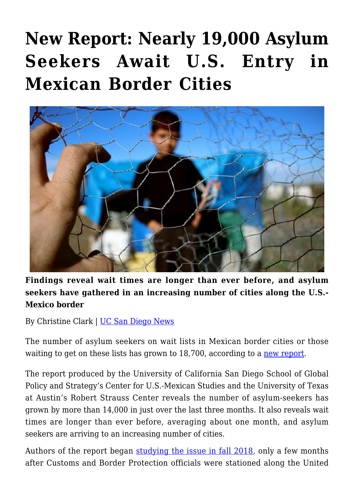## **[New Report: Nearly 19,000 Asylum](https://gpsnews.ucsd.edu/new-report-nearly-19000-asylum-seekers-await-u-s-entry-in-mexican-border-cities/) [Seekers Await U.S. Entry in](https://gpsnews.ucsd.edu/new-report-nearly-19000-asylum-seekers-await-u-s-entry-in-mexican-border-cities/) [Mexican Border Cities](https://gpsnews.ucsd.edu/new-report-nearly-19000-asylum-seekers-await-u-s-entry-in-mexican-border-cities/)**



**Findings reveal wait times are longer than ever before, and asylum seekers have gathered in an increasing number of cities along the U.S.- Mexico border**

By Christine Clark | [UC San Diego News](https://ucsdnews.ucsd.edu/pressrelease/new_report_nearly_19000_asylum_seekers_await_u.s_entry_in_mexican_border_cities)

The number of asylum seekers on wait lists in Mexican border cities or those waiting to get on these lists has grown to 18,700, according to a [new report.](https://www.strausscenter.org/images/strauss/18-19/MSI/Metering-Report-May-2019-MSI_FINAL.pdf)

The report produced by the University of California San Diego School of Global Policy and Strategy's Center for U.S.-Mexican Studies and the University of Texas at Austin's Robert Strauss Center reveals the number of asylum-seekers has grown by more than 14,000 in just over the last three months. It also reveals wait times are longer than ever before, averaging about one month, and asylum seekers are arriving to an increasing number of cities.

Authors of the report began [studying the issue in fall 2018,](https://www.strausscenter.org/images/MSI/AsylumReport_MSI.pdf) only a few months after Customs and Border Protection officials were stationed along the United